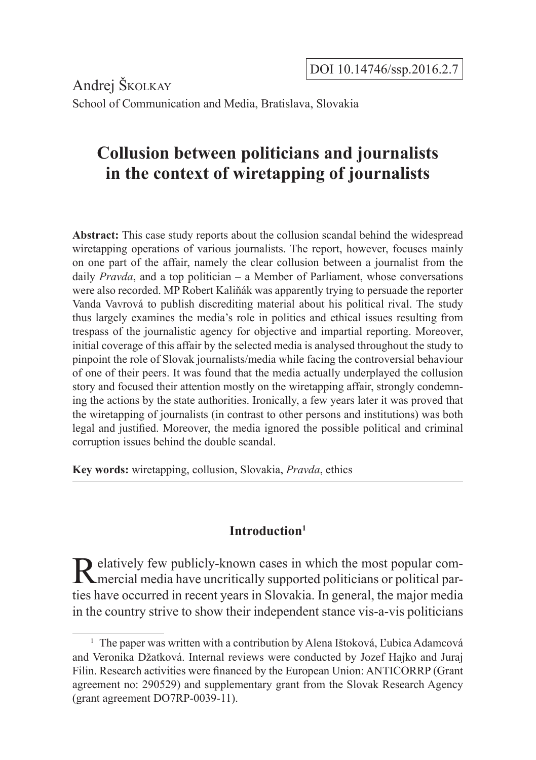Andrej Školkay School of Communication and Media, Bratislava, Slovakia

# **Collusion between politicians and journalists in the context of wiretapping of journalists**

**Abstract:** This case study reports about the collusion scandal behind the widespread wiretapping operations of various journalists. The report, however, focuses mainly on one part of the affair, namely the clear collusion between a journalist from the daily *Pravda*, and a top politician – a Member of Parliament, whose conversations were also recorded. MP Robert Kaliňák was apparently trying to persuade the reporter Vanda Vavrová to publish discrediting material about his political rival. The study thus largely examines the media's role in politics and ethical issues resulting from trespass of the journalistic agency for objective and impartial reporting. Moreover, initial coverage of this affair by the selected media is analysed throughout the study to pinpoint the role of Slovak journalists/media while facing the controversial behaviour of one of their peers. It was found that the media actually underplayed the collusion story and focused their attention mostly on the wiretapping affair, strongly condemning the actions by the state authorities. Ironically, a few years later it was proved that the wiretapping of journalists (in contrast to other persons and institutions) was both legal and justified. Moreover, the media ignored the possible political and criminal corruption issues behind the double scandal.

**Key words:** wiretapping, collusion, Slovakia, *Pravda*, ethics

# **Introduction1**

Relatively few publicly-known cases in which the most popular com-<br>mercial media have uncritically supported politicians or political parties have occurred in recent years in Slovakia. In general, the major media in the country strive to show their independent stance vis-a-vis politicians

<sup>&</sup>lt;sup>1</sup> The paper was written with a contribution by Alena Ištoková, Ľubica Adamcová and Veronika Džatková. Internal reviews were conducted by Jozef Hajko and Juraj Filin. Research activities were financed by the European Union: ANTICORRP (Grant agreement no: 290529) and supplementary grant from the Slovak Research Agency (grant agreement DO7RP-0039-11).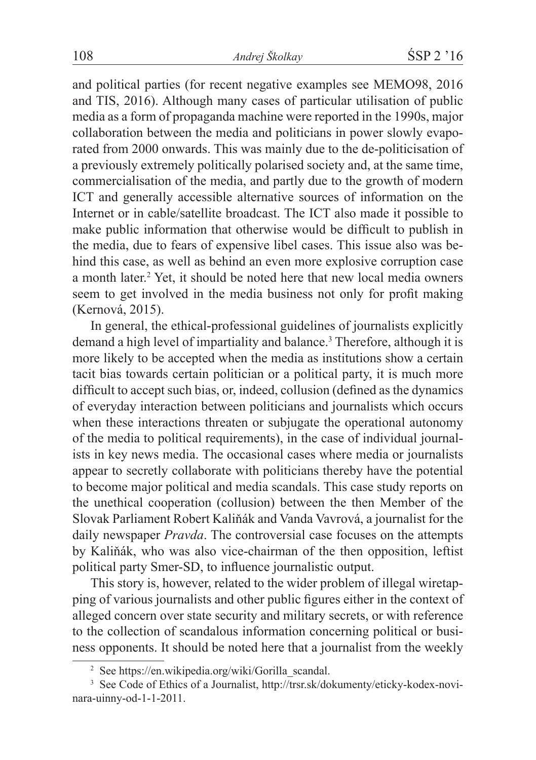and political parties (for recent negative examples see MEMO98, 2016 and TIS, 2016). Although many cases of particular utilisation of public media as a form of propaganda machine were reported in the 1990s, major collaboration between the media and politicians in power slowly evaporated from 2000 onwards. This was mainly due to the de-politicisation of a previously extremely politically polarised society and, at the same time, commercialisation of the media, and partly due to the growth of modern ICT and generally accessible alternative sources of information on the Internet or in cable/satellite broadcast. The ICT also made it possible to make public information that otherwise would be difficult to publish in the media, due to fears of expensive libel cases. This issue also was behind this case, as well as behind an even more explosive corruption case a month later.<sup>2</sup> Yet, it should be noted here that new local media owners seem to get involved in the media business not only for profit making (Kernová, 2015).

In general, the ethical-professional guidelines of journalists explicitly demand a high level of impartiality and balance.<sup>3</sup> Therefore, although it is more likely to be accepted when the media as institutions show a certain tacit bias towards certain politician or a political party, it is much more difficult to accept such bias, or, indeed, collusion (defined as the dynamics of everyday interaction between politicians and journalists which occurs when these interactions threaten or subjugate the operational autonomy of the media to political requirements), in the case of individual journalists in key news media. The occasional cases where media or journalists appear to secretly collaborate with politicians thereby have the potential to become major political and media scandals. This case study reports on the unethical cooperation (collusion) between the then Member of the Slovak Parliament Robert Kaliňák and Vanda Vavrová, a journalist for the daily newspaper *Pravda*. The controversial case focuses on the attempts by Kaliňák, who was also vice-chairman of the then opposition, leftist political party Smer-SD, to influence journalistic output.

This story is, however, related to the wider problem of illegal wiretapping of various journalists and other public figures either in the context of alleged concern over state security and military secrets, or with reference to the collection of scandalous information concerning political or business opponents. It should be noted here that a journalist from the weekly

<sup>&</sup>lt;sup>2</sup> See https://en.wikipedia.org/wiki/Gorilla scandal.

<sup>3</sup> See Code of Ethics of a Journalist, http://trsr.sk/dokumenty/eticky-kodex-novinara-uinny-od-1-1-2011.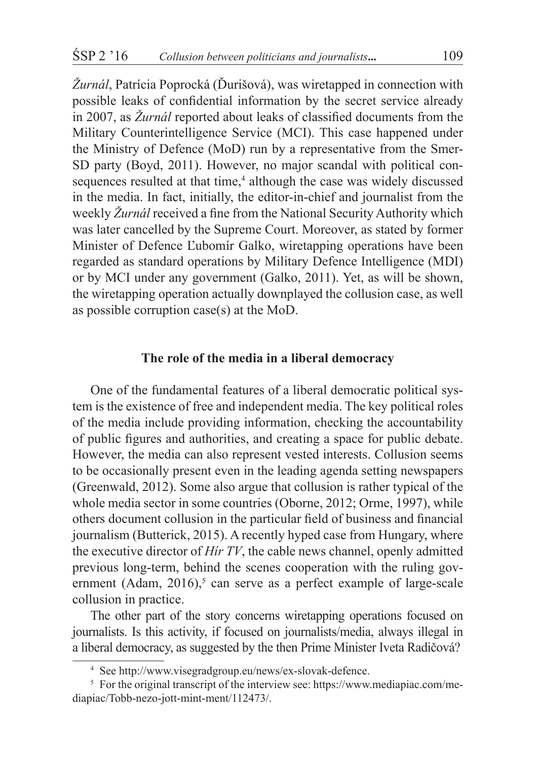*Žurnál*, Patrícia Poprocká (Ďurišová), was wiretapped in connection with possible leaks of confidential information by the secret service already in 2007, as *Žurnál* reported about leaks of classified documents from the Military Counterintelligence Service (MCI). This case happened under the Ministry of Defence (MoD) run by a representative from the Smer-SD party (Boyd, 2011). However, no major scandal with political consequences resulted at that time,<sup>4</sup> although the case was widely discussed in the media. In fact, initially, the editor-in-chief and journalist from the weekly *Žurnál* received a fine from the National Security Authority which was later cancelled by the Supreme Court. Moreover, as stated by former Minister of Defence Ľubomír Galko, wiretapping operations have been regarded as standard operations by Military Defence Intelligence (MDI) or by MCI under any government (Galko, 2011). Yet, as will be shown, the wiretapping operation actually downplayed the collusion case, as well as possible corruption case(s) at the MoD.

# **The role of the media in a liberal democracy**

One of the fundamental features of a liberal democratic political system is the existence of free and independent media. The key political roles of the media include providing information, checking the accountability of public figures and authorities, and creating a space for public debate. However, the media can also represent vested interests. Collusion seems to be occasionally present even in the leading agenda setting newspapers (Greenwald, 2012). Some also argue that collusion is rather typical of the whole media sector in some countries (Oborne, 2012; Orme, 1997), while others document collusion in the particular field of business and financial journalism (Butterick, 2015). A recently hyped case from Hungary, where the executive director of *Hír TV*, the cable news channel, openly admitted previous long-term, behind the scenes cooperation with the ruling government (Adam,  $2016$ ),<sup>5</sup> can serve as a perfect example of large-scale collusion in practice.

The other part of the story concerns wiretapping operations focused on journalists. Is this activity, if focused on journalists/media, always illegal in a liberal democracy, as suggested by the then Prime Minister Iveta Radičová?

<sup>4</sup> See http://www.visegradgroup.eu/news/ex-slovak-defence.

<sup>&</sup>lt;sup>5</sup> For the original transcript of the interview see: https://www.mediapiac.com/mediapiac/Tobb-nezo-jott-mint-ment/112473/.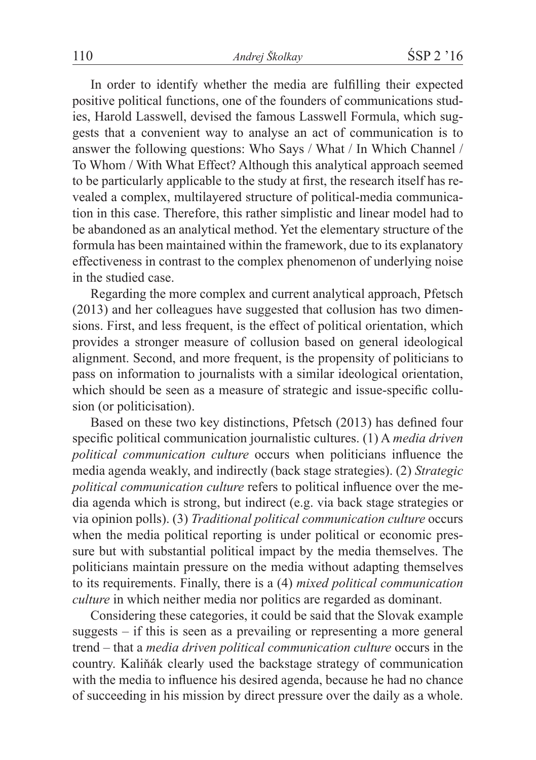In order to identify whether the media are fulfilling their expected positive political functions, one of the founders of communications studies, Harold Lasswell, devised the famous Lasswell Formula, which suggests that a convenient way to analyse an act of communication is to answer the following questions: Who Says / What / In Which Channel / To Whom / With What Effect? Although this analytical approach seemed to be particularly applicable to the study at first, the research itself has revealed a complex, multilayered structure of political-media communication in this case. Therefore, this rather simplistic and linear model had to be abandoned as an analytical method. Yet the elementary structure of the formula has been maintained within the framework, due to its explanatory effectiveness in contrast to the complex phenomenon of underlying noise in the studied case.

Regarding the more complex and current analytical approach, Pfetsch (2013) and her colleagues have suggested that collusion has two dimensions. First, and less frequent, is the effect of political orientation, which provides a stronger measure of collusion based on general ideological alignment. Second, and more frequent, is the propensity of politicians to pass on information to journalists with a similar ideological orientation, which should be seen as a measure of strategic and issue-specific collusion (or politicisation).

Based on these two key distinctions, Pfetsch (2013) has defined four specific political communication journalistic cultures. (1) A *media driven political communication culture* occurs when politicians influence the media agenda weakly, and indirectly (back stage strategies). (2) *Strategic political communication culture* refers to political influence over the media agenda which is strong, but indirect (e.g. via back stage strategies or via opinion polls). (3) *Traditional political communication culture* occurs when the media political reporting is under political or economic pressure but with substantial political impact by the media themselves. The politicians maintain pressure on the media without adapting themselves to its requirements. Finally, there is a (4) *mixed political communication culture* in which neither media nor politics are regarded as dominant.

Considering these categories, it could be said that the Slovak example suggests – if this is seen as a prevailing or representing a more general trend – that a *media driven political communication culture* occurs in the country. Kaliňák clearly used the backstage strategy of communication with the media to influence his desired agenda, because he had no chance of succeeding in his mission by direct pressure over the daily as a whole.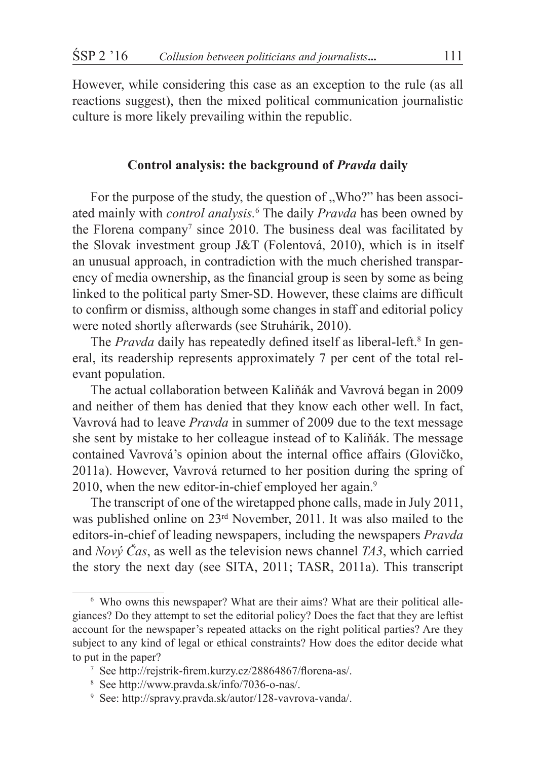However, while considering this case as an exception to the rule (as all reactions suggest), then the mixed political communication journalistic culture is more likely prevailing within the republic.

# **Control analysis: the background of** *Pravda* **daily**

For the purpose of the study, the question of "Who?" has been associ-ated mainly with *control analysis.*<sup>6</sup> The daily *Pravda* has been owned by the Florena company<sup>7</sup> since 2010. The business deal was facilitated by the Slovak investment group J&T (Folentová, 2010), which is in itself an unusual approach, in contradiction with the much cherished transparency of media ownership, as the financial group is seen by some as being linked to the political party Smer-SD. However, these claims are difficult to confirm or dismiss, although some changes in staff and editorial policy were noted shortly afterwards (see Struhárik, 2010).

The *Pravda* daily has repeatedly defined itself as liberal-left.<sup>8</sup> In general, its readership represents approximately 7 per cent of the total relevant population.

The actual collaboration between Kaliňák and Vavrová began in 2009 and neither of them has denied that they know each other well. In fact, Vavrová had to leave *Pravda* in summer of 2009 due to the text message she sent by mistake to her colleague instead of to Kaliňák. The message contained Vavrová's opinion about the internal office affairs (Glovičko, 2011a). However, Vavrová returned to her position during the spring of 2010, when the new editor-in-chief employed her again.<sup>9</sup>

The transcript of one of the wiretapped phone calls, made in July 2011, was published online on 23rd November, 2011. It was also mailed to the editors-in-chief of leading newspapers, including the newspapers *Pravda* and *Nový Čas*, as well as the television news channel *TA3*, which carried the story the next day (see SITA, 2011; TASR, 2011a). This transcript

<sup>6</sup> Who owns this newspaper? What are their aims? What are their political allegiances? Do they attempt to set the editorial policy? Does the fact that they are leftist account for the newspaper's repeated attacks on the right political parties? Are they subject to any kind of legal or ethical constraints? How does the editor decide what to put in the paper?

<sup>7</sup> See http://rejstrik-firem.kurzy.cz/28864867/florena-as/.

<sup>8</sup> See http://www.pravda.sk/info/7036-o-nas/.

<sup>9</sup> See: http://spravy.pravda.sk/autor/128-vavrova-vanda/.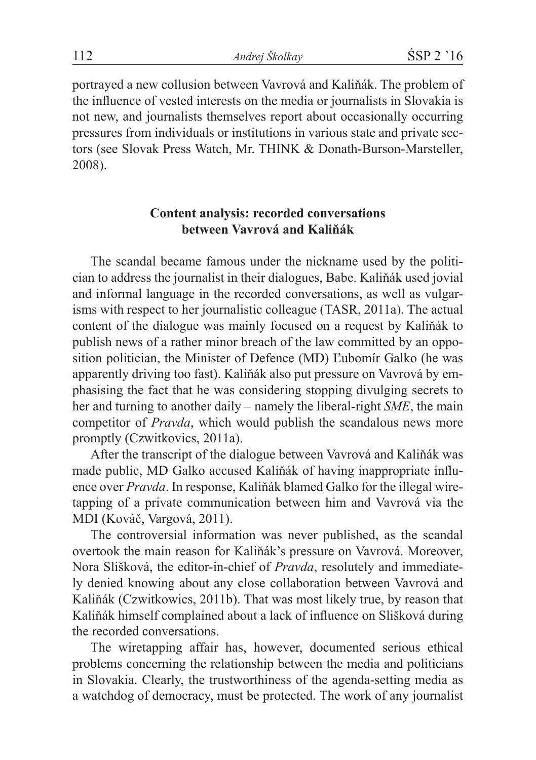portrayed a new collusion between Vavrová and Kaliňák. The problem of the influence of vested interests on the media or journalists in Slovakia is not new, and journalists themselves report about occasionally occurring pressures from individuals or institutions in various state and private sectors (see Slovak Press Watch, Mr. THINK & Donath-Burson-Marsteller, 2008).

# **Content analysis: recorded conversations between Vavrová and Kaliňák**

The scandal became famous under the nickname used by the politician to address the journalist in their dialogues, Babe. Kaliňák used jovial and informal language in the recorded conversations, as well as vulgarisms with respect to her journalistic colleague (TASR, 2011a). The actual content of the dialogue was mainly focused on a request by Kaliňák to publish news of a rather minor breach of the law committed by an opposition politician, the Minister of Defence (MD) Ľubomír Galko (he was apparently driving too fast). Kaliňák also put pressure on Vavrová by emphasising the fact that he was considering stopping divulging secrets to her and turning to another daily – namely the liberal-right *SME*, the main competitor of *Pravda*, which would publish the scandalous news more promptly (Czwitkovics, 2011a).

After the transcript of the dialogue between Vavrová and Kaliňák was made public, MD Galko accused Kaliňák of having inappropriate influence over *Pravda*. In response, Kaliňák blamed Galko for the illegal wiretapping of a private communication between him and Vavrová via the MDI (Kováč, Vargová, 2011).

The controversial information was never published, as the scandal overtook the main reason for Kaliňák's pressure on Vavrová. Moreover, Nora Slišková, the editor-in-chief of *Pravda*, resolutely and immediately denied knowing about any close collaboration between Vavrová and Kaliňák (Czwitkowics, 2011b). That was most likely true, by reason that Kaliňák himself complained about a lack of influence on Slišková during the recorded conversations.

The wiretapping affair has, however, documented serious ethical problems concerning the relationship between the media and politicians in Slovakia. Clearly, the trustworthiness of the agenda-setting media as a watchdog of democracy, must be protected. The work of any journalist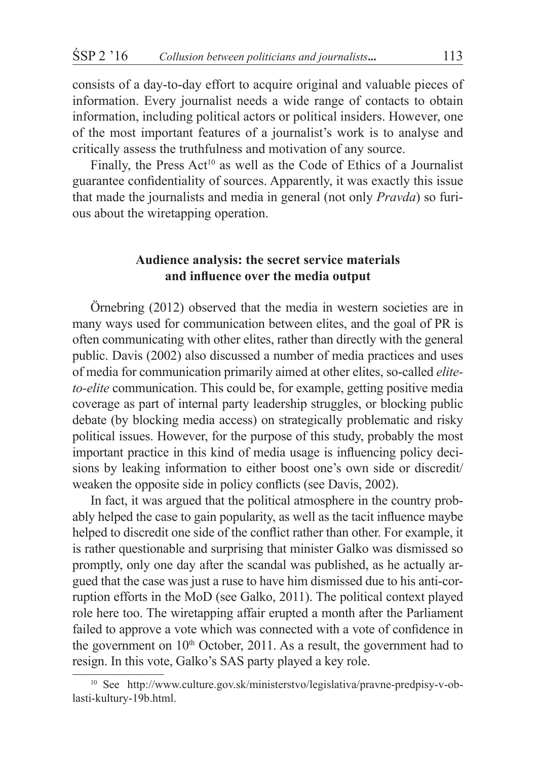consists of a day-to-day effort to acquire original and valuable pieces of information. Every journalist needs a wide range of contacts to obtain information, including political actors or political insiders. However, one of the most important features of a journalist's work is to analyse and critically assess the truthfulness and motivation of any source.

Finally, the Press  $Act^{10}$  as well as the Code of Ethics of a Journalist guarantee confidentiality of sources. Apparently, it was exactly this issue that made the journalists and media in general (not only *Pravda*) so furious about the wiretapping operation.

# **Audience analysis: the secret service materials and influence over the media output**

Örnebring (2012) observed that the media in western societies are in many ways used for communication between elites, and the goal of PR is often communicating with other elites, rather than directly with the general public. Davis (2002) also discussed a number of media practices and uses of media for communication primarily aimed at other elites, so-called *eliteto-elite* communication. This could be, for example, getting positive media coverage as part of internal party leadership struggles, or blocking public debate (by blocking media access) on strategically problematic and risky political issues. However, for the purpose of this study, probably the most important practice in this kind of media usage is influencing policy decisions by leaking information to either boost one's own side or discredit/ weaken the opposite side in policy conflicts (see Davis, 2002).

In fact, it was argued that the political atmosphere in the country probably helped the case to gain popularity, as well as the tacit influence maybe helped to discredit one side of the conflict rather than other. For example, it is rather questionable and surprising that minister Galko was dismissed so promptly, only one day after the scandal was published, as he actually argued that the case was just a ruse to have him dismissed due to his anti-corruption efforts in the MoD (see Galko, 2011). The political context played role here too. The wiretapping affair erupted a month after the Parliament failed to approve a vote which was connected with a vote of confidence in the government on  $10<sup>th</sup>$  October, 2011. As a result, the government had to resign. In this vote, Galko's SAS party played a key role.

<sup>10</sup> See http://www.culture.gov.sk/ministerstvo/legislativa/pravne-predpisy-v-oblasti-kultury-19b.html.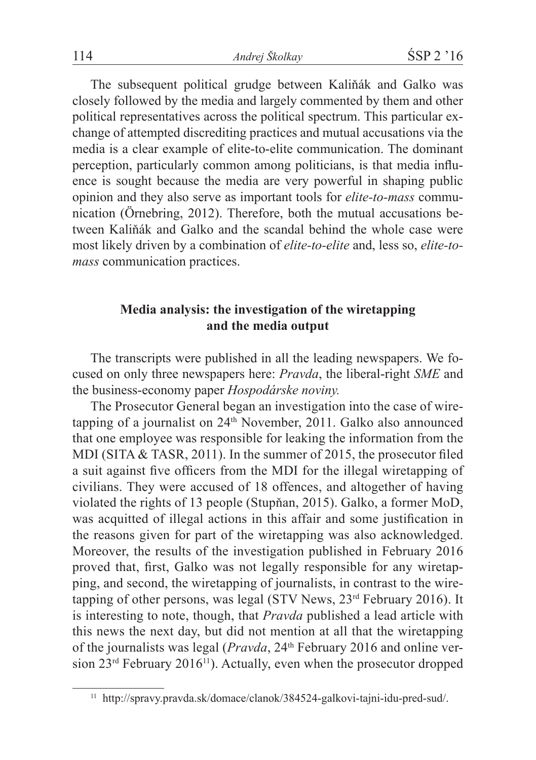The subsequent political grudge between Kaliňák and Galko was closely followed by the media and largely commented by them and other political representatives across the political spectrum. This particular exchange of attempted discrediting practices and mutual accusations via the media is a clear example of elite-to-elite communication. The dominant perception, particularly common among politicians, is that media influence is sought because the media are very powerful in shaping public opinion and they also serve as important tools for *elite-to-mass* communication (Örnebring, 2012). Therefore, both the mutual accusations between Kaliňák and Galko and the scandal behind the whole case were most likely driven by a combination of *elite-to-elite* and, less so, *elite-tomass* communication practices.

# **Media analysis: the investigation of the wiretapping and the media output**

The transcripts were published in all the leading newspapers. We focused on only three newspapers here: *Pravda*, the liberal-right *SME* and the business-economy paper *Hospodárske noviny.*

The Prosecutor General began an investigation into the case of wiretapping of a journalist on  $24<sup>th</sup>$  November, 2011. Galko also announced that one employee was responsible for leaking the information from the MDI (SITA & TASR, 2011). In the summer of 2015, the prosecutor filed a suit against five officers from the MDI for the illegal wiretapping of civilians. They were accused of 18 offences, and altogether of having violated the rights of 13 people (Stupňan, 2015). Galko, a former MoD, was acquitted of illegal actions in this affair and some justification in the reasons given for part of the wiretapping was also acknowledged. Moreover, the results of the investigation published in February 2016 proved that, first, Galko was not legally responsible for any wiretapping, and second, the wiretapping of journalists, in contrast to the wiretapping of other persons, was legal (STV News, 23<sup>rd</sup> February 2016). It is interesting to note, though, that *Pravda* published a lead article with this news the next day, but did not mention at all that the wiretapping of the journalists was legal (*Pravda*, 24<sup>th</sup> February 2016 and online version  $23^{rd}$  February  $2016^{11}$ ). Actually, even when the prosecutor dropped

<sup>11</sup> http://spravy.pravda.sk/domace/clanok/384524-galkovi-tajni-idu-pred-sud/.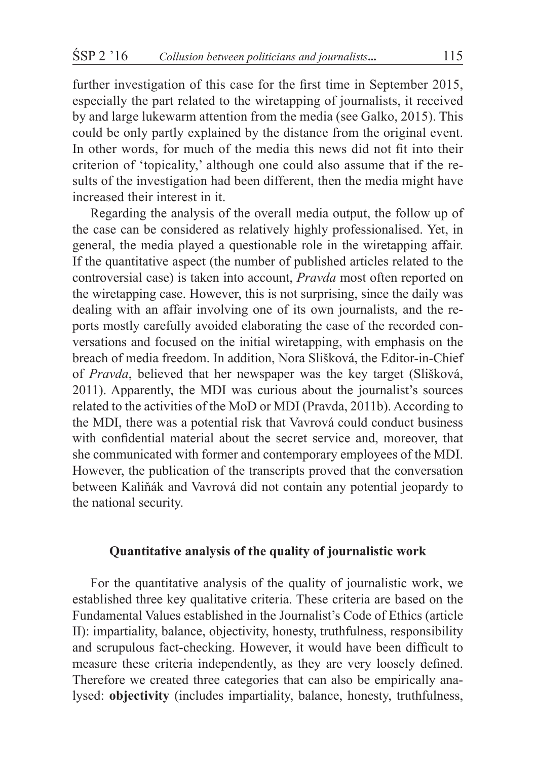further investigation of this case for the first time in September 2015, especially the part related to the wiretapping of journalists, it received by and large lukewarm attention from the media (see Galko, 2015). This could be only partly explained by the distance from the original event. In other words, for much of the media this news did not fit into their criterion of 'topicality,' although one could also assume that if the results of the investigation had been different, then the media might have increased their interest in it.

Regarding the analysis of the overall media output, the follow up of the case can be considered as relatively highly professionalised. Yet, in general, the media played a questionable role in the wiretapping affair. If the quantitative aspect (the number of published articles related to the controversial case) is taken into account, *Pravda* most often reported on the wiretapping case. However, this is not surprising, since the daily was dealing with an affair involving one of its own journalists, and the reports mostly carefully avoided elaborating the case of the recorded conversations and focused on the initial wiretapping, with emphasis on the breach of media freedom. In addition, Nora Slišková, the Editor-in-Chief of *Pravda*, believed that her newspaper was the key target (Slišková, 2011). Apparently, the MDI was curious about the journalist's sources related to the activities of the MoD or MDI (Pravda, 2011b). According to the MDI, there was a potential risk that Vavrová could conduct business with confidential material about the secret service and, moreover, that she communicated with former and contemporary employees of the MDI. However, the publication of the transcripts proved that the conversation between Kaliňák and Vavrová did not contain any potential jeopardy to the national security.

# **Quantitative analysis of the quality of journalistic work**

For the quantitative analysis of the quality of journalistic work, we established three key qualitative criteria. These criteria are based on the Fundamental Values established in the Journalist's Code of Ethics (article II): impartiality, balance, objectivity, honesty, truthfulness, responsibility and scrupulous fact-checking. However, it would have been difficult to measure these criteria independently, as they are very loosely defined. Therefore we created three categories that can also be empirically analysed: **objectivity** (includes impartiality, balance, honesty, truthfulness,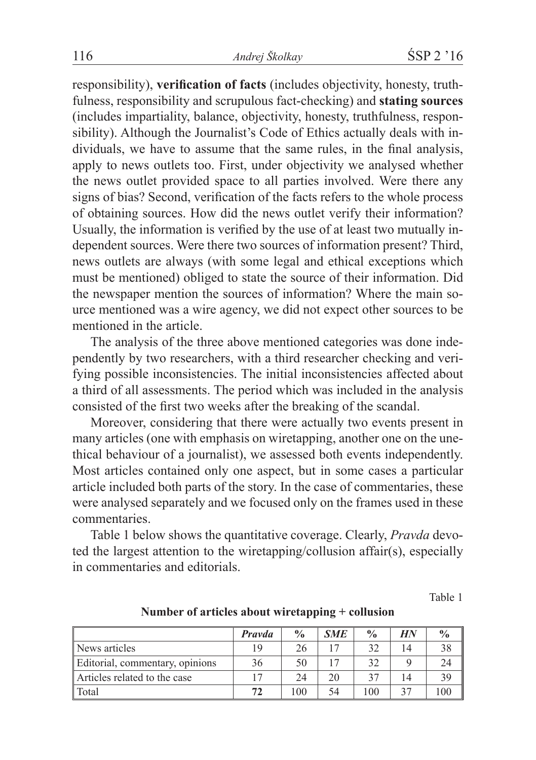responsibility), **verification of facts** (includes objectivity, honesty, truthfulness, responsibility and scrupulous fact-checking) and **stating sources** (includes impartiality, balance, objectivity, honesty, truthfulness, responsibility). Although the Journalist's Code of Ethics actually deals with individuals, we have to assume that the same rules, in the final analysis, apply to news outlets too. First, under objectivity we analysed whether the news outlet provided space to all parties involved. Were there any signs of bias? Second, verification of the facts refers to the whole process of obtaining sources. How did the news outlet verify their information? Usually, the information is verified by the use of at least two mutually independent sources. Were there two sources of information present? Third, news outlets are always (with some legal and ethical exceptions which must be mentioned) obliged to state the source of their information. Did the newspaper mention the sources of information? Where the main source mentioned was a wire agency, we did not expect other sources to be mentioned in the article.

The analysis of the three above mentioned categories was done independently by two researchers, with a third researcher checking and verifying possible inconsistencies. The initial inconsistencies affected about a third of all assessments. The period which was included in the analysis consisted of the first two weeks after the breaking of the scandal.

Moreover, considering that there were actually two events present in many articles (one with emphasis on wiretapping, another one on the unethical behaviour of a journalist), we assessed both events independently. Most articles contained only one aspect, but in some cases a particular article included both parts of the story. In the case of commentaries, these were analysed separately and we focused only on the frames used in these commentaries.

Table 1 below shows the quantitative coverage. Clearly, *Pravda* devoted the largest attention to the wiretapping/collusion affair(s), especially in commentaries and editorials.

Table 1

|                                 | <b>Prayda</b> | $\frac{0}{0}$ | <b>SME</b> | $\frac{0}{0}$ | HN | $\frac{0}{0}$ |
|---------------------------------|---------------|---------------|------------|---------------|----|---------------|
| News articles                   | 19            | 26            | 17         | 32            | 14 | 38            |
| Editorial, commentary, opinions | 36            | 50            |            | 32            |    | 24            |
| Articles related to the case    |               | 24            | 20         | 37            | 14 | 39            |
| Total                           | 72            | 100           | 54         | 100           | 37 | 100           |

**Number of articles about wiretapping + collusion**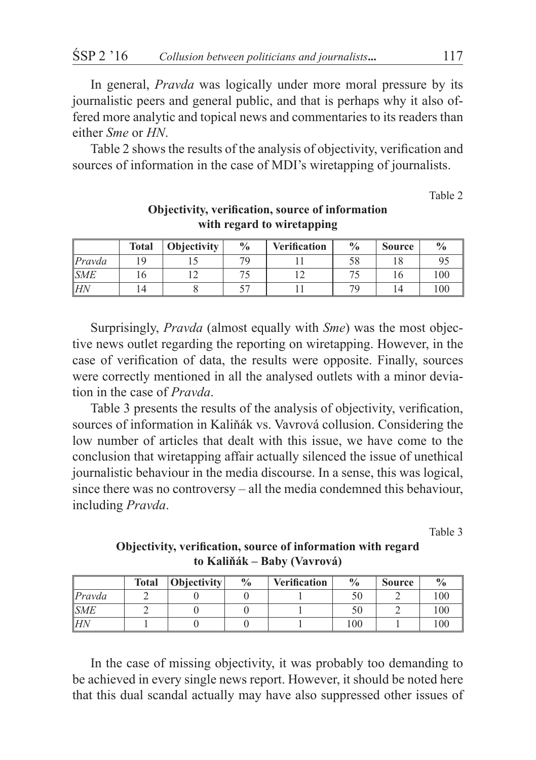In general, *Pravda* was logically under more moral pressure by its journalistic peers and general public, and that is perhaps why it also offered more analytic and topical news and commentaries to its readers than either *Sme* or *HN*.

Table 2 shows the results of the analysis of objectivity, verification and sources of information in the case of MDI's wiretapping of journalists.

Table 2

|                    | <b>Total</b> | Objectivity | $\frac{0}{0}$ | <b>Verification</b> | $\frac{0}{0}$            | <b>Source</b> | $\frac{0}{0}$ |
|--------------------|--------------|-------------|---------------|---------------------|--------------------------|---------------|---------------|
| $P$ ravda          |              |             | 70            |                     | 58                       |               |               |
| $\vert$ <i>SME</i> |              |             |               |                     |                          | ١h            | 100           |
| lΗΛ                | 14           |             |               |                     | $\overline{\phantom{a}}$ |               | 100           |

# **Objectivity, verification, source of information with regard to wiretapping**

Surprisingly, *Pravda* (almost equally with *Sme*) was the most objective news outlet regarding the reporting on wiretapping. However, in the case of verification of data, the results were opposite. Finally, sources were correctly mentioned in all the analysed outlets with a minor deviation in the case of *Pravda*.

Table 3 presents the results of the analysis of objectivity, verification, sources of information in Kaliňák vs. Vavrová collusion. Considering the low number of articles that dealt with this issue, we have come to the conclusion that wiretapping affair actually silenced the issue of unethical journalistic behaviour in the media discourse. In a sense, this was logical, since there was no controversy – all the media condemned this behaviour, including *Pravda*.

Table 3

|        | <b>Total</b> | <b>Objectivity</b> | $\frac{0}{0}$ | <b>Verification</b> | $\frac{0}{0}$ | <b>Source</b> | $\frac{0}{0}$ |
|--------|--------------|--------------------|---------------|---------------------|---------------|---------------|---------------|
| Pravda |              |                    |               |                     | эU            |               | 100           |
| SME    |              |                    |               |                     | 50            |               | 100           |
| lΗΛ    |              |                    |               |                     | 100           |               | 100           |

**Objectivity, verification, source of information with regard to Kaliňák – Baby (Vavrová)** 

In the case of missing objectivity, it was probably too demanding to be achieved in every single news report. However, it should be noted here that this dual scandal actually may have also suppressed other issues of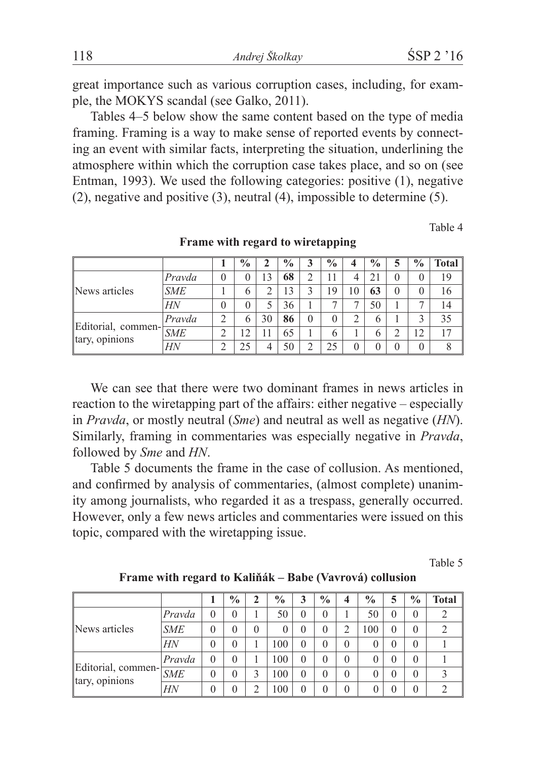great importance such as various corruption cases, including, for example, the MOKYS scandal (see Galko, 2011).

Tables 4–5 below show the same content based on the type of media framing. Framing is a way to make sense of reported events by connecting an event with similar facts, interpreting the situation, underlining the atmosphere within which the corruption case takes place, and so on (see Entman, 1993). We used the following categories: positive (1), negative (2), negative and positive (3), neutral (4), impossible to determine (5).

Table 4

|                                             |            |   | $\frac{0}{0}$ |    | $\frac{0}{0}$ |          | $\frac{0}{0}$  | 4        | $\frac{0}{0}$ | 5        | $\frac{6}{9}$ | Total |
|---------------------------------------------|------------|---|---------------|----|---------------|----------|----------------|----------|---------------|----------|---------------|-------|
| News articles                               | Pravda     |   | 0             | 3  | 68            |          | 11             | 4        | 21            | $\theta$ |               | 19    |
|                                             | <b>SME</b> |   | 6             |    | 13            |          | 19             | 10       | 63            | $\theta$ |               | 16    |
|                                             | HN         |   | 0             |    | 36            |          | ⇁              |          | 50            |          |               | 14    |
| Editorial, commen-<br>SME<br>tary, opinions | Pravda     | ◠ | 6             | 30 | 86            | $\theta$ | $\overline{0}$ | ∍        | 6             |          | ◠             | 35    |
|                                             |            |   |               |    | 65            |          | 6              |          | $\circ$       | າ<br>∼   | 12            |       |
|                                             | HN         |   |               |    | 50            |          | 25             | $\theta$ | $\theta$      | $\theta$ |               |       |

**Frame with regard to wiretapping**

We can see that there were two dominant frames in news articles in reaction to the wiretapping part of the affairs: either negative – especially in *Pravda*, or mostly neutral (*Sme*) and neutral as well as negative (*HN*). Similarly, framing in commentaries was especially negative in *Pravda*, followed by *Sme* and *HN*.

Table 5 documents the frame in the case of collusion. As mentioned, and confirmed by analysis of commentaries, (almost complete) unanimity among journalists, who regarded it as a trespass, generally occurred. However, only a few news articles and commentaries were issued on this topic, compared with the wiretapping issue.

Table 5

|                                      |            |          | $\frac{0}{0}$ | 2        | $\frac{0}{0}$ | 3        | $\frac{0}{0}$ | 4        | $\frac{0}{0}$ | 5        | $\frac{0}{0}$  | <b>Total</b> |
|--------------------------------------|------------|----------|---------------|----------|---------------|----------|---------------|----------|---------------|----------|----------------|--------------|
| News articles                        | Pravda     | $\Omega$ | $\theta$      |          | 50            | $\theta$ | $\theta$      |          | 50            | $\theta$ | $\theta$       |              |
|                                      | <b>SME</b> | $\Omega$ | $\theta$      | $\theta$ | 0             | $\theta$ | $\theta$      |          | 100           | $\theta$ | $\theta$       |              |
|                                      | HN         | $\Omega$ | $\theta$      |          | 100           | $\theta$ | $\theta$      | $\Omega$ |               | $\theta$ | $\theta$       |              |
| Editorial, commen-<br>tary, opinions | Pravda     | $\Omega$ | $\Omega$      |          | 100           | $\theta$ | $\theta$      | $\Omega$ |               | $\theta$ | $\theta$       |              |
|                                      | <b>SME</b> | $\theta$ | $\Omega$      | 3        | 100           | $\theta$ | 0             | $\Omega$ |               | $\theta$ | $\theta$       |              |
|                                      | HN         | $\Omega$ | $\Omega$      | ↑        | 100           | $\theta$ | $\theta$      | $\Omega$ |               | $\theta$ | $\overline{0}$ |              |

**Frame with regard to Kaliňák – Babe (Vavrová) collusion**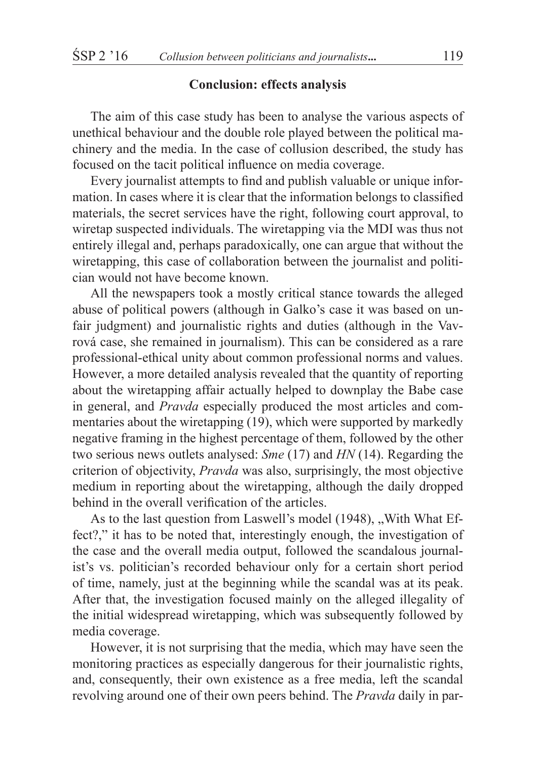#### **Conclusion: effects analysis**

The aim of this case study has been to analyse the various aspects of unethical behaviour and the double role played between the political machinery and the media. In the case of collusion described, the study has focused on the tacit political influence on media coverage.

Every journalist attempts to find and publish valuable or unique information. In cases where it is clear that the information belongs to classified materials, the secret services have the right, following court approval, to wiretap suspected individuals. The wiretapping via the MDI was thus not entirely illegal and, perhaps paradoxically, one can argue that without the wiretapping, this case of collaboration between the journalist and politician would not have become known.

All the newspapers took a mostly critical stance towards the alleged abuse of political powers (although in Galko's case it was based on unfair judgment) and journalistic rights and duties (although in the Vavrová case, she remained in journalism). This can be considered as a rare professional-ethical unity about common professional norms and values. However, a more detailed analysis revealed that the quantity of reporting about the wiretapping affair actually helped to downplay the Babe case in general, and *Pravda* especially produced the most articles and commentaries about the wiretapping (19), which were supported by markedly negative framing in the highest percentage of them, followed by the other two serious news outlets analysed: *Sme* (17) and *HN* (14). Regarding the criterion of objectivity, *Pravda* was also, surprisingly, the most objective medium in reporting about the wiretapping, although the daily dropped behind in the overall verification of the articles.

As to the last question from Laswell's model (1948), .. With What Effect?," it has to be noted that, interestingly enough, the investigation of the case and the overall media output, followed the scandalous journalist's vs. politician's recorded behaviour only for a certain short period of time, namely, just at the beginning while the scandal was at its peak. After that, the investigation focused mainly on the alleged illegality of the initial widespread wiretapping, which was subsequently followed by media coverage.

However, it is not surprising that the media, which may have seen the monitoring practices as especially dangerous for their journalistic rights, and, consequently, their own existence as a free media, left the scandal revolving around one of their own peers behind. The *Pravda* daily in par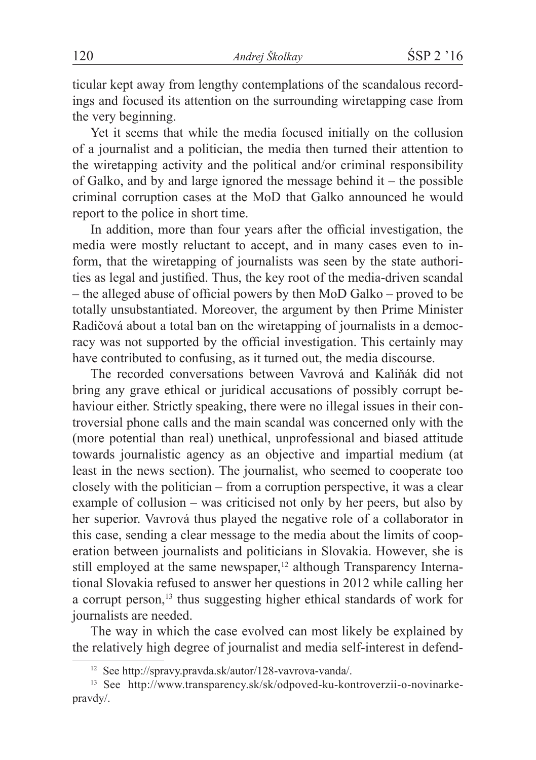ticular kept away from lengthy contemplations of the scandalous recordings and focused its attention on the surrounding wiretapping case from the very beginning.

Yet it seems that while the media focused initially on the collusion of a journalist and a politician, the media then turned their attention to the wiretapping activity and the political and/or criminal responsibility of Galko, and by and large ignored the message behind it – the possible criminal corruption cases at the MoD that Galko announced he would report to the police in short time.

In addition, more than four years after the official investigation, the media were mostly reluctant to accept, and in many cases even to inform, that the wiretapping of journalists was seen by the state authorities as legal and justified. Thus, the key root of the media-driven scandal – the alleged abuse of official powers by then MoD Galko – proved to be totally unsubstantiated. Moreover, the argument by then Prime Minister Radičová about a total ban on the wiretapping of journalists in a democracy was not supported by the official investigation. This certainly may have contributed to confusing, as it turned out, the media discourse.

The recorded conversations between Vavrová and Kaliňák did not bring any grave ethical or juridical accusations of possibly corrupt behaviour either. Strictly speaking, there were no illegal issues in their controversial phone calls and the main scandal was concerned only with the (more potential than real) unethical, unprofessional and biased attitude towards journalistic agency as an objective and impartial medium (at least in the news section). The journalist, who seemed to cooperate too closely with the politician – from a corruption perspective, it was a clear example of collusion – was criticised not only by her peers, but also by her superior. Vavrová thus played the negative role of a collaborator in this case, sending a clear message to the media about the limits of cooperation between journalists and politicians in Slovakia. However, she is still employed at the same newspaper,<sup>12</sup> although Transparency International Slovakia refused to answer her questions in 2012 while calling her a corrupt person,<sup>13</sup> thus suggesting higher ethical standards of work for journalists are needed.

The way in which the case evolved can most likely be explained by the relatively high degree of journalist and media self-interest in defend-

<sup>12</sup> See http://spravy.pravda.sk/autor/128-vavrova-vanda/.

<sup>13</sup> See http://www.transparency.sk/sk/odpoved-ku-kontroverzii-o-novinarkepravdy/.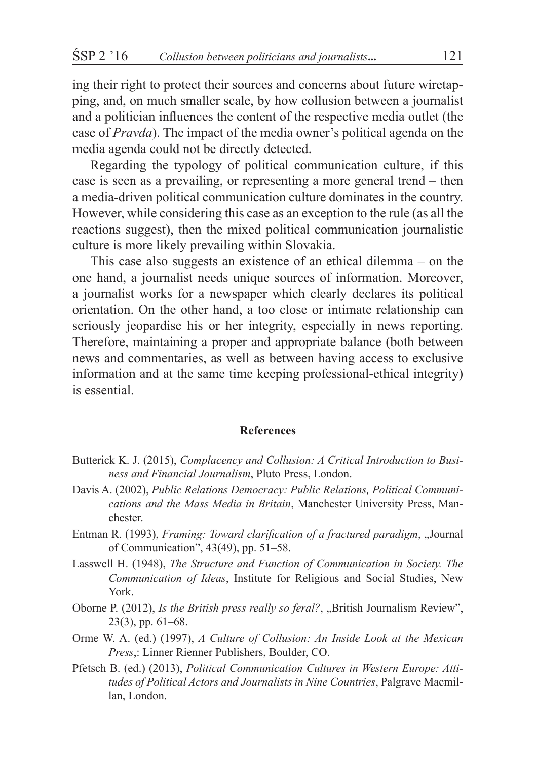ing their right to protect their sources and concerns about future wiretapping, and, on much smaller scale, by how collusion between a journalist and a politician influences the content of the respective media outlet (the case of *Pravda*). The impact of the media owner's political agenda on the media agenda could not be directly detected.

Regarding the typology of political communication culture, if this case is seen as a prevailing, or representing a more general trend – then a media-driven political communication culture dominates in the country. However, while considering this case as an exception to the rule (as all the reactions suggest), then the mixed political communication journalistic culture is more likely prevailing within Slovakia.

This case also suggests an existence of an ethical dilemma – on the one hand, a journalist needs unique sources of information. Moreover, a journalist works for a newspaper which clearly declares its political orientation. On the other hand, a too close or intimate relationship can seriously jeopardise his or her integrity, especially in news reporting. Therefore, maintaining a proper and appropriate balance (both between news and commentaries, as well as between having access to exclusive information and at the same time keeping professional-ethical integrity) is essential.

#### **References**

- Butterick K. J. (2015), *Complacency and Collusion: A Critical Introduction to Business and Financial Journalism*, Pluto Press, London.
- Davis A. (2002), *Public Relations Democracy: Public Relations, Political Communications and the Mass Media in Britain*, Manchester University Press, Manchester.
- Entman R. (1993), *Framing: Toward clarification of a fractured paradigm*, "Journal of Communication", 43(49), pp. 51–58.
- Lasswell H. (1948), *The Structure and Function of Communication in Society. The Communication of Ideas*, Institute for Religious and Social Studies, New York.
- Oborne P. (2012), *Is the British press really so feral?*, "British Journalism Review", 23(3), pp. 61–68.
- Orme W. A. (ed.) (1997), *A Culture of Collusion: An Inside Look at the Mexican Press*,: Linner Rienner Publishers, Boulder, CO.
- Pfetsch B. (ed.) (2013), *Political Communication Cultures in Western Europe: Attitudes of Political Actors and Journalists in Nine Countries*, Palgrave Macmillan, London.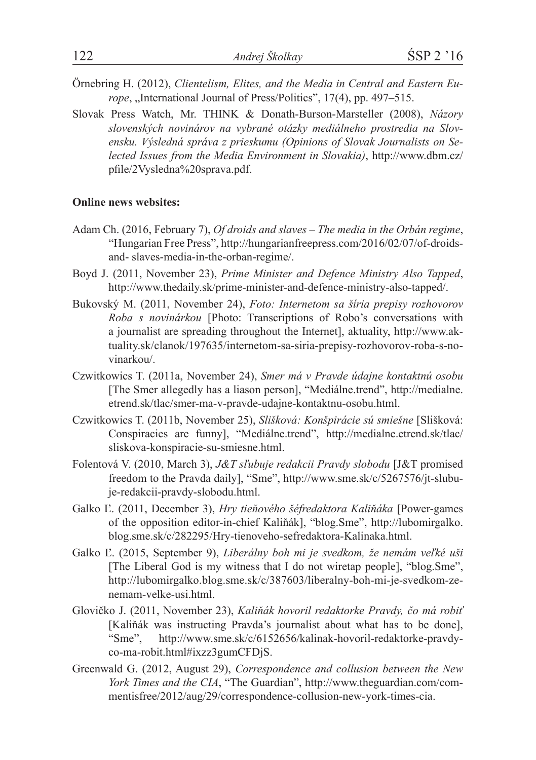- Örnebring H. (2012), *Clientelism, Elites, and the Media in Central and Eastern Europe*, "International Journal of Press/Politics", 17(4), pp. 497–515.
- Slovak Press Watch, Mr. THINK & Donath-Burson-Marsteller (2008), *Názory slovenských novinárov na vybrané otázky mediálneho prostredia na Slovensku. Výsledná správa z prieskumu (Opinions of Slovak Journalists on Selected Issues from the Media Environment in Slovakia)*, http://www.dbm.cz/ pfile/2Vysledna%20sprava.pdf.

#### **Online news websites:**

- Adam Ch. (2016, February 7), *Of droids and slaves The media in the Orbán regime*, "Hungarian Free Press", http://hungarianfreepress.com/2016/02/07/of-droidsand- slaves-media-in-the-orban-regime/.
- Boyd J. (2011, November 23), *Prime Minister and Defence Ministry Also Tapped*, http://www.thedaily.sk/prime-minister-and-defence-ministry-also-tapped/.
- Bukovský M. (2011, November 24), *Foto: Internetom sa šíria prepisy rozhovorov Roba s novinárkou* [Photo: Transcriptions of Robo's conversations with a journalist are spreading throughout the Internet], aktuality, http://www.aktuality.sk/clanok/197635/internetom-sa-siria-prepisy-rozhovorov-roba-s-novinarkou/.
- Czwitkowics T. (2011a, November 24), *Smer má v Pravde údajne kontaktnú osobu* [The Smer allegedly has a liason person], "Mediálne.trend", http://medialne. etrend.sk/tlac/smer-ma-v-pravde-udajne-kontaktnu-osobu.html.
- Czwitkowics T. (2011b, November 25), *Slišková: Konšpirácie sú smiešne* [Slišková: Conspiracies are funny], "Mediálne.trend", http://medialne.etrend.sk/tlac/ sliskova-konspiracie-su-smiesne.html.
- Folentová V. (2010, March 3), *J&T sľubuje redakcii Pravdy slobodu* [J&T promised freedom to the Pravda daily], "Sme", http://www.sme.sk/c/5267576/jt-slubuje-redakcii-pravdy-slobodu.html.
- Galko Ľ. (2011, December 3), *Hry tieňového šéfredaktora Kaliňáka* [Power-games of the opposition editor-in-chief Kaliňák], "blog.Sme", http://lubomirgalko. blog.sme.sk/c/282295/Hry-tienoveho-sefredaktora-Kalinaka.html.
- Galko Ľ. (2015, September 9), *Liberálny boh mi je svedkom, že nemám veľké uši* [The Liberal God is my witness that I do not wiretap people], "blog.Sme", http://lubomirgalko.blog.sme.sk/c/387603/liberalny-boh-mi-je-svedkom-zenemam-velke-usi.html.
- Glovičko J. (2011, November 23), *Kaliňák hovoril redaktorke Pravdy, čo má robiť* [Kaliňák was instructing Pravda's journalist about what has to be done], "Sme", http://www.sme.sk/c/6152656/kalinak-hovoril-redaktorke-pravdyco-ma-robit.html#ixzz3gumCFDjS.
- Greenwald G. (2012, August 29), *Correspondence and collusion between the New York Times and the CIA*, "The Guardian", http://www.theguardian.com/commentisfree/2012/aug/29/correspondence-collusion-new-york-times-cia.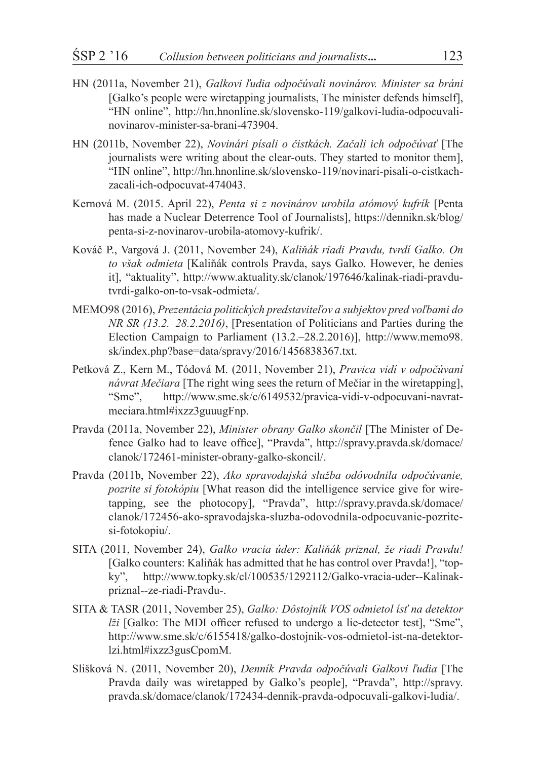- HN (2011a, November 21), *Galkovi ľudia odpočúvali novinárov. Minister sa bráni* [Galko's people were wiretapping journalists, The minister defends himself], "HN online", http://hn.hnonline.sk/slovensko-119/galkovi-ludia-odpocuvalinovinarov-minister-sa-brani-473904.
- HN (2011b, November 22), *Novinári písali o čistkách. Začali ich odpočúvať* [The journalists were writing about the clear-outs. They started to monitor them], "HN online", http://hn.hnonline.sk/slovensko-119/novinari-pisali-o-cistkachzacali-ich-odpocuvat-474043.
- Kernová M. (2015. April 22), *Penta si z novinárov urobila atómový kufrík* [Penta has made a Nuclear Deterrence Tool of Journalists], https://dennikn.sk/blog/ penta-si-z-novinarov-urobila-atomovy-kufrik/.
- Kováč P., Vargová J. (2011, November 24), *Kaliňák riadi Pravdu, tvrdí Galko. On to však odmieta* [Kaliňák controls Pravda, says Galko. However, he denies it], "aktuality", http://www.aktuality.sk/clanok/197646/kalinak-riadi-pravdutvrdi-galko-on-to-vsak-odmieta/.
- MEMO98 (2016), *Prezentácia politických predstaviteľov a subjektov pred voľbami do NR SR (13.2.–28.2.2016)*, [Presentation of Politicians and Parties during the Election Campaign to Parliament (13.2.–28.2.2016)], http://www.memo98. sk/index.php?base=data/spravy/2016/1456838367.txt.
- Petková Z., Kern M., Tódová M. (2011, November 21), *Pravica vidí v odpočúvaní návrat Mečiara* [The right wing sees the return of Mečiar in the wiretapping], "Sme", http://www.sme.sk/c/6149532/pravica-vidi-v-odpocuvani-navratmeciara.html#ixzz3guuugFnp.
- Pravda (2011a, November 22), *Minister obrany Galko skončil* [The Minister of Defence Galko had to leave office], "Pravda", http://spravy.pravda.sk/domace/ clanok/172461-minister-obrany-galko-skoncil/.
- Pravda (2011b, November 22), *Ako spravodajská služba odôvodnila odpočúvanie, pozrite si fotokópiu* [What reason did the intelligence service give for wiretapping, see the photocopy], "Pravda", http://spravy.pravda.sk/domace/ clanok/172456-ako-spravodajska-sluzba-odovodnila-odpocuvanie-pozritesi-fotokopiu/.
- SITA (2011, November 24), *Galko vracia úder: Kaliňák priznal, že riadi Pravdu!* [Galko counters: Kaliňák has admitted that he has control over Pravda!], "topky", http://www.topky.sk/cl/100535/1292112/Galko-vracia-uder--Kalinakpriznal--ze-riadi-Pravdu-.
- SITA & TASR (2011, November 25), *Galko: Dôstojník VOS odmietol ísť na detektor lži* [Galko: The MDI officer refused to undergo a lie-detector test], "Sme", http://www.sme.sk/c/6155418/galko-dostojnik-vos-odmietol-ist-na-detektorlzi.html#ixzz3gusCpomM.
- Slišková N. (2011, November 20), *Denník Pravda odpočúvali Galkovi ľudia* [The Pravda daily was wiretapped by Galko's people], "Pravda", http://spravy. pravda.sk/domace/clanok/172434-dennik-pravda-odpocuvali-galkovi-ludia/.